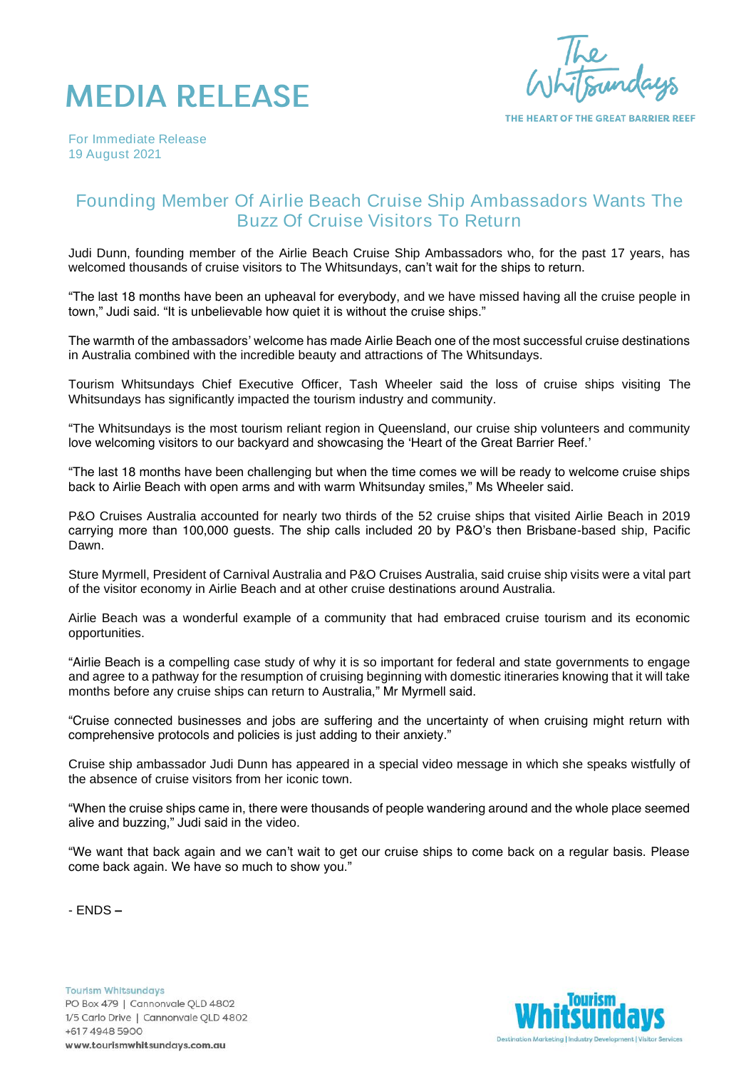



THE HEART OF THE GREAT BARRIER REEF

*For Immediate Release 19 August 2021*

## Founding Member Of Airlie Beach Cruise Ship Ambassadors Wants The Buzz Of Cruise Visitors To Return

Judi Dunn, founding member of the Airlie Beach Cruise Ship Ambassadors who, for the past 17 years, has welcomed thousands of cruise visitors to The Whitsundays, can't wait for the ships to return.

"The last 18 months have been an upheaval for everybody, and we have missed having all the cruise people in town," Judi said. "It is unbelievable how quiet it is without the cruise ships."

The warmth of the ambassadors' welcome has made Airlie Beach one of the most successful cruise destinations in Australia combined with the incredible beauty and attractions of The Whitsundays.

Tourism Whitsundays Chief Executive Officer, Tash Wheeler said the loss of cruise ships visiting The Whitsundays has significantly impacted the tourism industry and community.

"The Whitsundays is the most tourism reliant region in Queensland, our cruise ship volunteers and community love welcoming visitors to our backyard and showcasing the 'Heart of the Great Barrier Reef.'

"The last 18 months have been challenging but when the time comes we will be ready to welcome cruise ships back to Airlie Beach with open arms and with warm Whitsunday smiles," Ms Wheeler said.

P&O Cruises Australia accounted for nearly two thirds of the 52 cruise ships that visited Airlie Beach in 2019 carrying more than 100,000 guests. The ship calls included 20 by P&O's then Brisbane-based ship, Pacific Dawn.

Sture Myrmell, President of Carnival Australia and P&O Cruises Australia, said cruise ship visits were a vital part of the visitor economy in Airlie Beach and at other cruise destinations around Australia.

Airlie Beach was a wonderful example of a community that had embraced cruise tourism and its economic opportunities.

"Airlie Beach is a compelling case study of why it is so important for federal and state governments to engage and agree to a pathway for the resumption of cruising beginning with domestic itineraries knowing that it will take months before any cruise ships can return to Australia," Mr Myrmell said.

"Cruise connected businesses and jobs are suffering and the uncertainty of when cruising might return with comprehensive protocols and policies is just adding to their anxiety."

Cruise ship ambassador Judi Dunn has appeared in a special video message in which she speaks wistfully of the absence of cruise visitors from her iconic town.

"When the cruise ships came in, there were thousands of people wandering around and the whole place seemed alive and buzzing," Judi said in the video.

"We want that back again and we can't wait to get our cruise ships to come back on a regular basis. Please come back again. We have so much to show you."

- ENDS –

**Tourism Whitsundays** PO Box 479 | Cannonvale QLD 4802 1/5 Carlo Drive | Cannonvale QLD 4802 +617 4948 5900 www.tourismwhitsundays.com.au